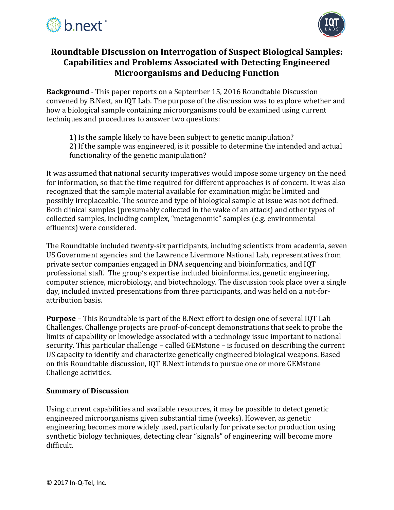



# **Roundtable Discussion on Interrogation of Suspect Biological Samples: Capabilities and Problems Associated with Detecting Engineered Microorganisms and Deducing Function**

**Background** - This paper reports on a September 15, 2016 Roundtable Discussion convened by B.Next, an IQT Lab. The purpose of the discussion was to explore whether and how a biological sample containing microorganisms could be examined using current techniques and procedures to answer two questions:

- 1) Is the sample likely to have been subject to genetic manipulation?
- 2) If the sample was engineered, is it possible to determine the intended and actual functionality of the genetic manipulation?

It was assumed that national security imperatives would impose some urgency on the need for information, so that the time required for different approaches is of concern. It was also recognized that the sample material available for examination might be limited and possibly irreplaceable. The source and type of biological sample at issue was not defined. Both clinical samples (presumably collected in the wake of an attack) and other types of collected samples, including complex, "metagenomic" samples (e.g. environmental effluents) were considered.

The Roundtable included twenty-six participants, including scientists from academia, seven US Government agencies and the Lawrence Livermore National Lab, representatives from private sector companies engaged in DNA sequencing and bioinformatics, and IQT professional staff. The group's expertise included bioinformatics, genetic engineering, computer science, microbiology, and biotechnology. The discussion took place over a single day, included invited presentations from three participants, and was held on a not-forattribution basis.

**Purpose** – This Roundtable is part of the B.Next effort to design one of several IQT Lab Challenges. Challenge projects are proof-of-concept demonstrations that seek to probe the limits of capability or knowledge associated with a technology issue important to national security. This particular challenge – called GEMstone – is focused on describing the current US capacity to identify and characterize genetically engineered biological weapons. Based on this Roundtable discussion, IQT B.Next intends to pursue one or more GEMstone Challenge activities.

## **Summary of Discussion**

Using current capabilities and available resources, it may be possible to detect genetic engineered microorganisms given substantial time (weeks). However, as genetic engineering becomes more widely used, particularly for private sector production using synthetic biology techniques, detecting clear "signals" of engineering will become more difficult.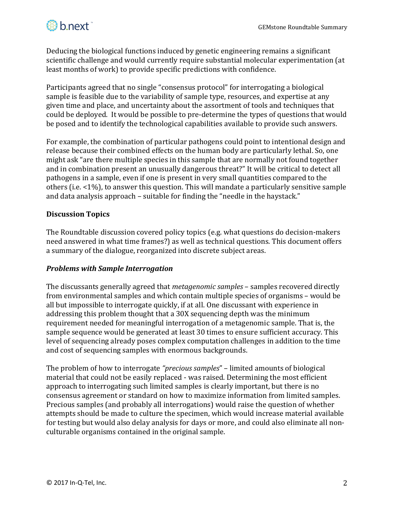

Deducing the biological functions induced by genetic engineering remains a significant scientific challenge and would currently require substantial molecular experimentation (at least months of work) to provide specific predictions with confidence.

Participants agreed that no single "consensus protocol" for interrogating a biological sample is feasible due to the variability of sample type, resources, and expertise at any given time and place, and uncertainty about the assortment of tools and techniques that could be deployed. It would be possible to pre-determine the types of questions that would be posed and to identify the technological capabilities available to provide such answers.

For example, the combination of particular pathogens could point to intentional design and release because their combined effects on the human body are particularly lethal. So, one might ask "are there multiple species in this sample that are normally not found together and in combination present an unusually dangerous threat?" It will be critical to detect all pathogens in a sample, even if one is present in very small quantities compared to the others (i.e. <1%), to answer this question. This will mandate a particularly sensitive sample and data analysis approach – suitable for finding the "needle in the haystack."

## **Discussion Topics**

The Roundtable discussion covered policy topics (e.g. what questions do decision-makers need answered in what time frames?) as well as technical questions. This document offers a summary of the dialogue, reorganized into discrete subject areas.

#### *Problems with Sample Interrogation*

The discussants generally agreed that *metagenomic samples* – samples recovered directly from environmental samples and which contain multiple species of organisms – would be all but impossible to interrogate quickly, if at all. One discussant with experience in addressing this problem thought that a 30X sequencing depth was the minimum requirement needed for meaningful interrogation of a metagenomic sample. That is, the sample sequence would be generated at least 30 times to ensure sufficient accuracy. This level of sequencing already poses complex computation challenges in addition to the time and cost of sequencing samples with enormous backgrounds.

The problem of how to interrogate *"precious samples*" – limited amounts of biological material that could not be easily replaced - was raised. Determining the most efficient approach to interrogating such limited samples is clearly important, but there is no consensus agreement or standard on how to maximize information from limited samples. Precious samples (and probably all interrogations) would raise the question of whether attempts should be made to culture the specimen, which would increase material available for testing but would also delay analysis for days or more, and could also eliminate all nonculturable organisms contained in the original sample.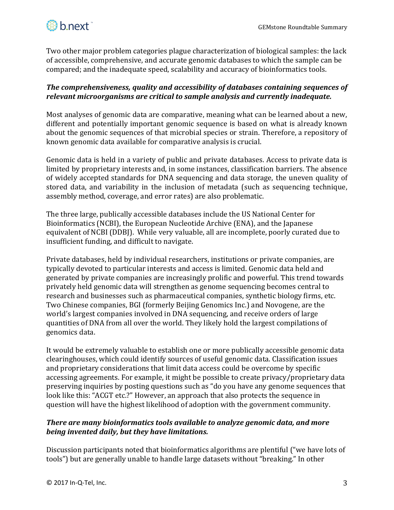

Two other major problem categories plague characterization of biological samples: the lack of accessible, comprehensive, and accurate genomic databases to which the sample can be compared; and the inadequate speed, scalability and accuracy of bioinformatics tools.

## *The comprehensiveness, quality and accessibility of databases containing sequences of relevant microorganisms are critical to sample analysis and currently inadequate.*

Most analyses of genomic data are comparative, meaning what can be learned about a new, different and potentially important genomic sequence is based on what is already known about the genomic sequences of that microbial species or strain. Therefore, a repository of known genomic data available for comparative analysis is crucial.

Genomic data is held in a variety of public and private databases. Access to private data is limited by proprietary interests and, in some instances, classification barriers. The absence of widely accepted standards for DNA sequencing and data storage, the uneven quality of stored data, and variability in the inclusion of metadata (such as sequencing technique, assembly method, coverage, and error rates) are also problematic.

The three large, publically accessible databases include the US National Center for Bioinformatics (NCBI), the European Nucleotide Archive (ENA), and the Japanese equivalent of NCBI (DDBJ). While very valuable, all are incomplete, poorly curated due to insufficient funding, and difficult to navigate.

Private databases, held by individual researchers, institutions or private companies, are typically devoted to particular interests and access is limited. Genomic data held and generated by private companies are increasingly prolific and powerful. This trend towards privately held genomic data will strengthen as genome sequencing becomes central to research and businesses such as pharmaceutical companies, synthetic biology firms, etc. Two Chinese companies, BGI (formerly Beijing Genomics Inc.) and Novogene, are the world's largest companies involved in DNA sequencing, and receive orders of large quantities of DNA from all over the world. They likely hold the largest compilations of genomics data.

It would be extremely valuable to establish one or more publically accessible genomic data clearinghouses, which could identify sources of useful genomic data. Classification issues and proprietary considerations that limit data access could be overcome by specific accessing agreements. For example, it might be possible to create privacy/proprietary data preserving inquiries by posting questions such as "do you have any genome sequences that look like this: "ACGT etc.?" However, an approach that also protects the sequence in question will have the highest likelihood of adoption with the government community.

## *There are many bioinformatics tools available to analyze genomic data, and more being invented daily, but they have limitations.*

Discussion participants noted that bioinformatics algorithms are plentiful ("we have lots of tools") but are generally unable to handle large datasets without "breaking." In other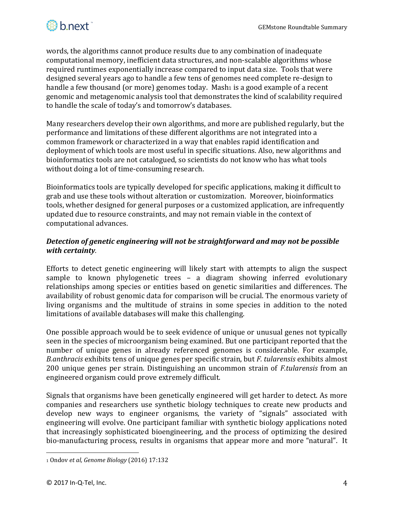

words, the algorithms cannot produce results due to any combination of inadequate computational memory, inefficient data structures, and non-scalable algorithms whose required runtimes exponentially increase compared to input data size. Tools that were designed several years ago to handle a few tens of genomes need complete re-design to handle a few thousand (or more) genomes today. Mash1 is a good example of a recent genomic and metagenomic analysis tool that demonstrates the kind of scalability required to handle the scale of today's and tomorrow's databases.

Many researchers develop their own algorithms, and more are published regularly, but the performance and limitations of these different algorithms are not integrated into a common framework or characterized in a way that enables rapid identification and deployment of which tools are most useful in specific situations. Also, new algorithms and bioinformatics tools are not catalogued, so scientists do not know who has what tools without doing a lot of time-consuming research.

Bioinformatics tools are typically developed for specific applications, making it difficult to grab and use these tools without alteration or customization. Moreover, bioinformatics tools, whether designed for general purposes or a customized application, are infrequently updated due to resource constraints, and may not remain viable in the context of computational advances.

#### *Detection of genetic engineering will not be straightforward and may not be possible with certainty.*

Efforts to detect genetic engineering will likely start with attempts to align the suspect sample to known phylogenetic trees – a diagram showing inferred evolutionary relationships among species or entities based on genetic similarities and differences. The availability of robust genomic data for comparison will be crucial. The enormous variety of living organisms and the multitude of strains in some species in addition to the noted limitations of available databases will make this challenging.

One possible approach would be to seek evidence of unique or unusual genes not typically seen in the species of microorganism being examined. But one participant reported that the number of unique genes in already referenced genomes is considerable. For example, *B.anthracis* exhibits tens of unique genes per specific strain, but *F. tularensis* exhibits almost 200 unique genes per strain. Distinguishing an uncommon strain of *F.tularensis* from an engineered organism could prove extremely difficult.

Signals that organisms have been genetically engineered will get harder to detect. As more companies and researchers use synthetic biology techniques to create new products and develop new ways to engineer organisms, the variety of "signals" associated with engineering will evolve. One participant familiar with synthetic biology applications noted that increasingly sophisticated bioengineering, and the process of optimizing the desired bio-manufacturing process, results in organisms that appear more and more "natural". It

l

<sup>1</sup> Ondov *et al, Genome Biology* (2016) 17:132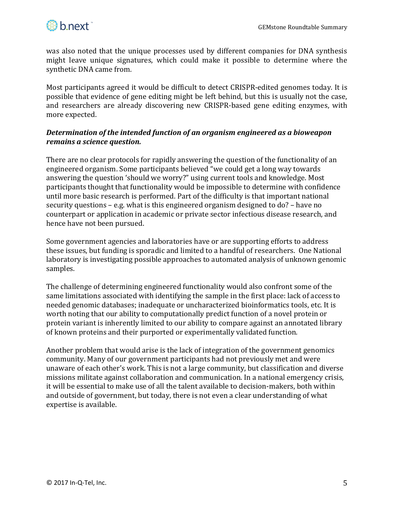

was also noted that the unique processes used by different companies for DNA synthesis might leave unique signatures, which could make it possible to determine where the synthetic DNA came from.

Most participants agreed it would be difficult to detect CRISPR-edited genomes today*.* It is possible that evidence of gene editing might be left behind, but this is usually not the case, and researchers are already discovering new CRISPR-based gene editing enzymes, with more expected.

## *Determination of the intended function of an organism engineered as a bioweapon remains a science question.*

There are no clear protocols for rapidly answering the question of the functionality of an engineered organism. Some participants believed "we could get a long way towards answering the question 'should we worry?" using current tools and knowledge. Most participants thought that functionality would be impossible to determine with confidence until more basic research is performed. Part of the difficulty is that important national security questions – e.g. what is this engineered organism designed to do? – have no counterpart or application in academic or private sector infectious disease research, and hence have not been pursued.

Some government agencies and laboratories have or are supporting efforts to address these issues, but funding is sporadic and limited to a handful of researchers. One National laboratory is investigating possible approaches to automated analysis of unknown genomic samples.

The challenge of determining engineered functionality would also confront some of the same limitations associated with identifying the sample in the first place: lack of access to needed genomic databases; inadequate or uncharacterized bioinformatics tools, etc. It is worth noting that our ability to computationally predict function of a novel protein or protein variant is inherently limited to our ability to compare against an annotated library of known proteins and their purported or experimentally validated function.

Another problem that would arise is the lack of integration of the government genomics community. Many of our government participants had not previously met and were unaware of each other's work. This is not a large community, but classification and diverse missions militate against collaboration and communication. In a national emergency crisis, it will be essential to make use of all the talent available to decision-makers, both within and outside of government, but today, there is not even a clear understanding of what expertise is available.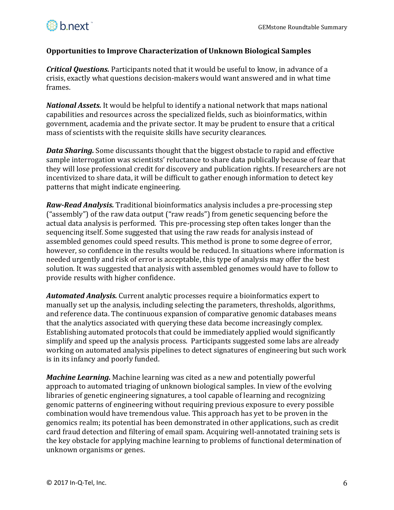#### **Opportunities to Improve Characterization of Unknown Biological Samples**

*Critical Questions.* Participants noted that it would be useful to know, in advance of a crisis, exactly what questions decision-makers would want answered and in what time frames.

*National Assets.* It would be helpful to identify a national network that maps national capabilities and resources across the specialized fields, such as bioinformatics, within government, academia and the private sector. It may be prudent to ensure that a critical mass of scientists with the requisite skills have security clearances.

*Data Sharing.* Some discussants thought that the biggest obstacle to rapid and effective sample interrogation was scientists' reluctance to share data publically because of fear that they will lose professional credit for discovery and publication rights. If researchers are not incentivized to share data, it will be difficult to gather enough information to detect key patterns that might indicate engineering.

*Raw-Read Analysis.* Traditional bioinformatics analysis includes a pre-processing step ("assembly") of the raw data output ("raw reads") from genetic sequencing before the actual data analysis is performed. This pre-processing step often takes longer than the sequencing itself. Some suggested that using the raw reads for analysis instead of assembled genomes could speed results. This method is prone to some degree of error, however, so confidence in the results would be reduced. In situations where information is needed urgently and risk of error is acceptable, this type of analysis may offer the best solution. It was suggested that analysis with assembled genomes would have to follow to provide results with higher confidence.

*Automated Analysis.* Current analytic processes require a bioinformatics expert to manually set up the analysis, including selecting the parameters, thresholds, algorithms, and reference data. The continuous expansion of comparative genomic databases means that the analytics associated with querying these data become increasingly complex. Establishing automated protocols that could be immediately applied would significantly simplify and speed up the analysis process. Participants suggested some labs are already working on automated analysis pipelines to detect signatures of engineering but such work is in its infancy and poorly funded.

*Machine Learning.* Machine learning was cited as a new and potentially powerful approach to automated triaging of unknown biological samples. In view of the evolving libraries of genetic engineering signatures, a tool capable of learning and recognizing genomic patterns of engineering without requiring previous exposure to every possible combination would have tremendous value. This approach has yet to be proven in the genomics realm; its potential has been demonstrated in other applications, such as credit card fraud detection and filtering of email spam. Acquiring well-annotated training sets is the key obstacle for applying machine learning to problems of functional determination of unknown organisms or genes.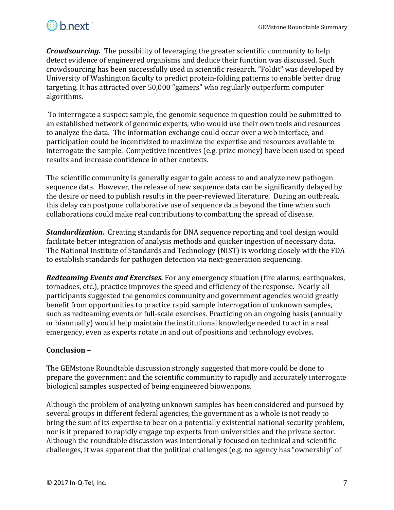

*Crowdsourcing.* The possibility of leveraging the greater scientific community to help detect evidence of engineered organisms and deduce their function was discussed. Such crowdsourcing has been successfully used in scientific research. "Foldit" was developed by University of Washington faculty to predict protein-folding patterns to enable better drug targeting. It has attracted over 50,000 "gamers" who regularly outperform computer algorithms.

To interrogate a suspect sample, the genomic sequence in question could be submitted to an established network of genomic experts, who would use their own tools and resources to analyze the data. The information exchange could occur over a web interface, and participation could be incentivized to maximize the expertise and resources available to interrogate the sample. Competitive incentives (e.g. prize money) have been used to speed results and increase confidence in other contexts.

The scientific community is generally eager to gain access to and analyze new pathogen sequence data. However, the release of new sequence data can be significantly delayed by the desire or need to publish results in the peer-reviewed literature. During an outbreak, this delay can postpone collaborative use of sequence data beyond the time when such collaborations could make real contributions to combatting the spread of disease.

*Standardization.* Creating standards for DNA sequence reporting and tool design would facilitate better integration of analysis methods and quicker ingestion of necessary data. The National Institute of Standards and Technology (NIST) is working closely with the FDA to establish standards for pathogen detection via next-generation sequencing.

*Redteaming Events and Exercises.* For any emergency situation (fire alarms, earthquakes, tornadoes, etc.), practice improves the speed and efficiency of the response. Nearly all participants suggested the genomics community and government agencies would greatly benefit from opportunities to practice rapid sample interrogation of unknown samples, such as redteaming events or full-scale exercises. Practicing on an ongoing basis (annually or biannually) would help maintain the institutional knowledge needed to act in a real emergency, even as experts rotate in and out of positions and technology evolves.

#### **Conclusion –**

The GEMstone Roundtable discussion strongly suggested that more could be done to prepare the government and the scientific community to rapidly and accurately interrogate biological samples suspected of being engineered bioweapons.

Although the problem of analyzing unknown samples has been considered and pursued by several groups in different federal agencies, the government as a whole is not ready to bring the sum of its expertise to bear on a potentially existential national security problem, nor is it prepared to rapidly engage top experts from universities and the private sector. Although the roundtable discussion was intentionally focused on technical and scientific challenges, it was apparent that the political challenges (e.g. no agency has "ownership" of